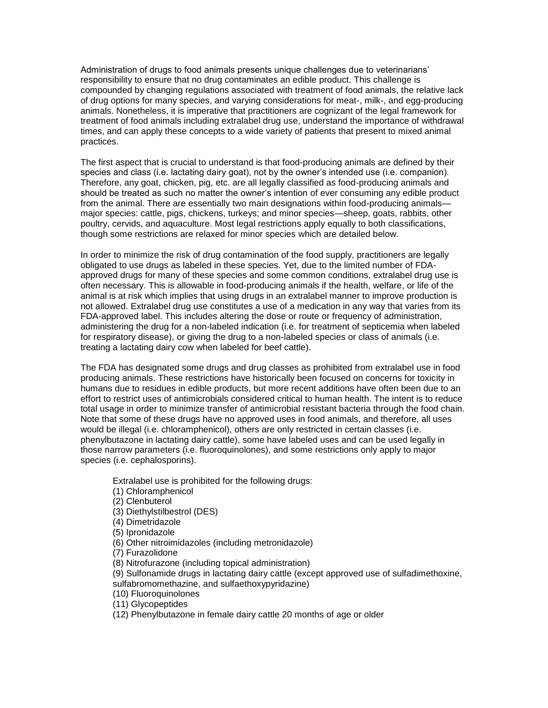Administration of drugs to food animals presents unique challenges due to veterinarians' responsibility to ensure that no drug contaminates an edible product. This challenge is compounded by changing regulations associated with treatment of food animals, the relative lack of drug options for many species, and varying considerations for meat-, milk-, and egg-producing animals. Nonetheless, it is imperative that practitioners are cognizant of the legal framework for treatment of food animals including extralabel drug use, understand the importance of withdrawal times, and can apply these concepts to a wide variety of patients that present to mixed animal practices.

The first aspect that is crucial to understand is that food-producing animals are defined by their species and class (i.e. lactating dairy goat), not by the owner's intended use (i.e. companion). Therefore, any goat, chicken, pig, etc. are all legally classified as food-producing animals and should be treated as such no matter the owner's intention of ever consuming any edible product from the animal. There are essentially two main designations within food-producing animals major species: cattle, pigs, chickens, turkeys; and minor species—sheep, goats, rabbits, other poultry, cervids, and aquaculture. Most legal restrictions apply equally to both classifications, though some restrictions are relaxed for minor species which are detailed below.

In order to minimize the risk of drug contamination of the food supply, practitioners are legally obligated to use drugs as labeled in these species. Yet, due to the limited number of FDAapproved drugs for many of these species and some common conditions, extralabel drug use is often necessary. This is allowable in food-producing animals if the health, welfare, or life of the animal is at risk which implies that using drugs in an extralabel manner to improve production is not allowed. Extralabel drug use constitutes a use of a medication in any way that varies from its FDA-approved label. This includes altering the dose or route or frequency of administration, administering the drug for a non-labeled indication (i.e. for treatment of septicemia when labeled for respiratory disease), or giving the drug to a non-labeled species or class of animals (i.e. treating a lactating dairy cow when labeled for beef cattle).

The FDA has designated some drugs and drug classes as prohibited from extralabel use in food producing animals. These restrictions have historically been focused on concerns for toxicity in humans due to residues in edible products, but more recent additions have often been due to an effort to restrict uses of antimicrobials considered critical to human health. The intent is to reduce total usage in order to minimize transfer of antimicrobial resistant bacteria through the food chain. Note that some of these drugs have no approved uses in food animals, and therefore, all uses would be illegal (i.e. chloramphenicol), others are only restricted in certain classes (i.e. phenylbutazone in lactating dairy cattle), some have labeled uses and can be used legally in those narrow parameters (i.e. fluoroquinolones), and some restrictions only apply to major species (i.e. cephalosporins).

Extralabel use is prohibited for the following drugs:

- (1) Chloramphenicol
- (2) Clenbuterol
- (3) Diethylstilbestrol (DES)
- (4) Dimetridazole
- (5) Ipronidazole
- (6) Other nitroimidazoles (including metronidazole)
- (7) Furazolidone
- (8) Nitrofurazone (including topical administration)
- (9) Sulfonamide drugs in lactating dairy cattle (except approved use of sulfadimethoxine, sulfabromomethazine, and sulfaethoxypyridazine)
- (10) Fluoroquinolones
- (11) Glycopeptides
- (12) Phenylbutazone in female dairy cattle 20 months of age or older